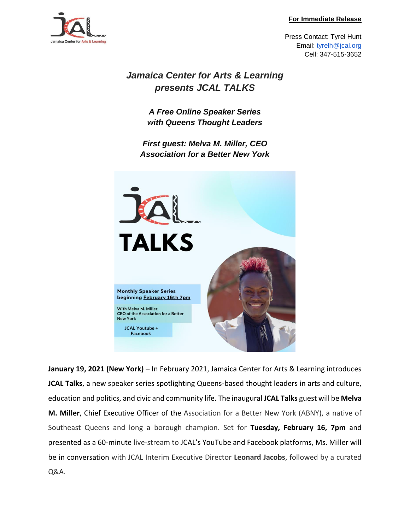### **For Immediate Release**



Press Contact: Tyrel Hunt Email: [tyrelh@jcal.org](mailto:tyrelh@jcal.org) Cell: 347-515-3652

# *Jamaica Center for Arts & Learning presents JCAL TALKS*

*A Free Online Speaker Series with Queens Thought Leaders*

*First guest: Melva M. Miller, CEO Association for a Better New York*



**January 19, 2021 (New York)** – In February 2021, Jamaica Center for Arts & Learning introduces **JCAL Talks**, a new speaker series spotlighting Queens-based thought leaders in arts and culture, education and politics, and civic and community life. The inaugural **JCAL Talks** guest will be **Melva M. Miller**, Chief Executive Officer of the Association for a Better New York (ABNY), a native of Southeast Queens and long a borough champion. Set for **Tuesday, February 16, 7pm** and presented as a 60-minute live-stream to JCAL's YouTube and Facebook platforms, Ms. Miller will be in conversation with JCAL Interim Executive Director **Leonard Jacobs**, followed by a curated Q&A.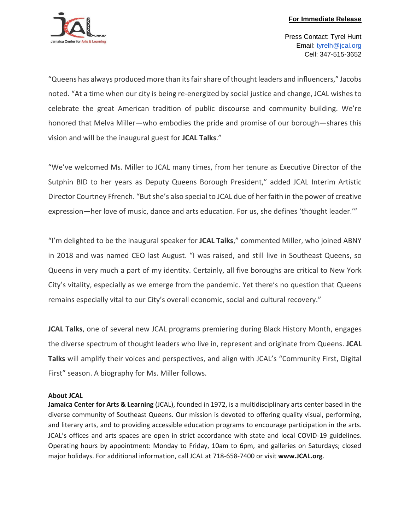

Press Contact: Tyrel Hunt Email: [tyrelh@jcal.org](mailto:tyrelh@jcal.org) Cell: 347-515-3652

"Queens has always produced more than its fair share of thought leaders and influencers," Jacobs noted. "At a time when our city is being re-energized by social justice and change, JCAL wishes to celebrate the great American tradition of public discourse and community building. We're honored that Melva Miller—who embodies the pride and promise of our borough—shares this vision and will be the inaugural guest for **JCAL Talks**."

"We've welcomed Ms. Miller to JCAL many times, from her tenure as Executive Director of the Sutphin BID to her years as Deputy Queens Borough President," added JCAL Interim Artistic Director Courtney Ffrench. "But she's also special to JCAL due of her faith in the power of creative expression—her love of music, dance and arts education. For us, she defines 'thought leader.'"

"I'm delighted to be the inaugural speaker for **JCAL Talks**," commented Miller, who joined ABNY in 2018 and was named CEO last August. "I was raised, and still live in Southeast Queens, so Queens in very much a part of my identity. Certainly, all five boroughs are critical to New York City's vitality, especially as we emerge from the pandemic. Yet there's no question that Queens remains especially vital to our City's overall economic, social and cultural recovery."

**JCAL Talks**, one of several new JCAL programs premiering during Black History Month, engages the diverse spectrum of thought leaders who live in, represent and originate from Queens. **JCAL Talks** will amplify their voices and perspectives, and align with JCAL's "Community First, Digital First" season. A biography for Ms. Miller follows.

## **About JCAL**

**Jamaica Center for Arts & Learning** (JCAL), founded in 1972, is a multidisciplinary arts center based in the diverse community of Southeast Queens. Our mission is devoted to offering quality visual, performing, and literary arts, and to providing accessible education programs to encourage participation in the arts. JCAL's offices and arts spaces are open in strict accordance with state and local COVID-19 guidelines. Operating hours by appointment: Monday to Friday, 10am to 6pm, and galleries on Saturdays; closed major holidays. For additional information, call JCAL at 718-658-7400 or visit **www.JCAL.org**.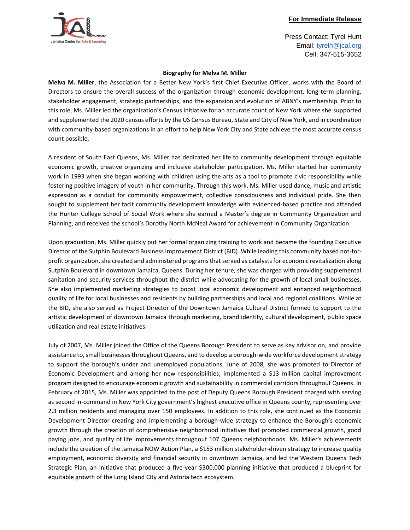



Press Contact: Tyrel Hunt Email: [tyrelh@jcal.org](mailto:tyrelh@jcal.org) Cell: 347-515-3652

#### **Biography for Melva M. Miller**

**Melva M. Miller**, the Association for a Better New York's first Chief Executive Officer, works with the Board of Directors to ensure the overall success of the organization through economic development, long-term planning, stakeholder engagement, strategic partnerships, and the expansion and evolution of ABNY's membership. Prior to this role, Ms. Miller led the organization's Census initiative for an accurate count of New York where she supported and supplemented the 2020 census efforts by the US Census Bureau, State and City of New York, and in coordination with community-based organizations in an effort to help New York City and State achieve the most accurate census count possible.

A resident of South East Queens, Ms. Miller has dedicated her life to community development through equitable economic growth, creative organizing and inclusive stakeholder participation. Ms. Miller started her community work in 1993 when she began working with children using the arts as a tool to promote civic responsibility while fostering positive imagery of youth in her community. Through this work, Ms. Miller used dance, music and artistic expression as a conduit for community empowerment, collective consciousness and individual pride. She then sought to supplement her tacit community development knowledge with evidenced-based practice and attended the Hunter College School of Social Work where she earned a Master's degree in Community Organization and Planning, and received the school's Dorothy North McNeal Award for achievement in Community Organization.

Upon graduation, Ms. Miller quickly put her formal organizing training to work and became the founding Executive Director of the Sutphin Boulevard Business Improvement District (BID). While leading this community based not-forprofit organization, she created and administered programs that served as catalysts for economic revitalization along Sutphin Boulevard in downtown Jamaica, Queens. During her tenure, she was charged with providing supplemental sanitation and security services throughout the district while advocating for the growth of local small businesses. She also implemented marketing strategies to boost local economic development and enhanced neighborhood quality of life for local businesses and residents by building partnerships and local and regional coalitions. While at the BID, she also served as Project Director of the Downtown Jamaica Cultural District formed to support to the artistic development of downtown Jamaica through marketing, brand identity, cultural development, public space utilization and real estate initiatives.

July of 2007, Ms. Miller joined the Office of the Queens Borough President to serve as key advisor on, and provide assistance to, small businesses throughout Queens, and to develop a borough-wide workforce development strategy to support the borough's under and unemployed populations. June of 2008, she was promoted to Director of Economic Development and among her new responsibilities, implemented a \$13 million capital improvement program designed to encourage economic growth and sustainability in commercial corridors throughout Queens. In February of 2015, Ms. Miller was appointed to the post of Deputy Queens Borough President charged with serving as second in-command in New York City government's highest executive office in Queens county, representing over 2.3 million residents and managing over 150 employees. In addition to this role, she continued as the Economic Development Director creating and implementing a borough-wide strategy to enhance the Borough's economic growth through the creation of comprehensive neighborhood initiatives that promoted commercial growth, good paying jobs, and quality of life improvements throughout 107 Queens neighborhoods. Ms. Miller's achievements include the creation of the Jamaica NOW Action Plan, a \$153 million stakeholder-driven strategy to increase quality employment, economic diversity and financial security in downtown Jamaica, and led the Western Queens Tech Strategic Plan, an initiative that produced a five-year \$300,000 planning initiative that produced a blueprint for equitable growth of the Long Island City and Astoria tech ecosystem.